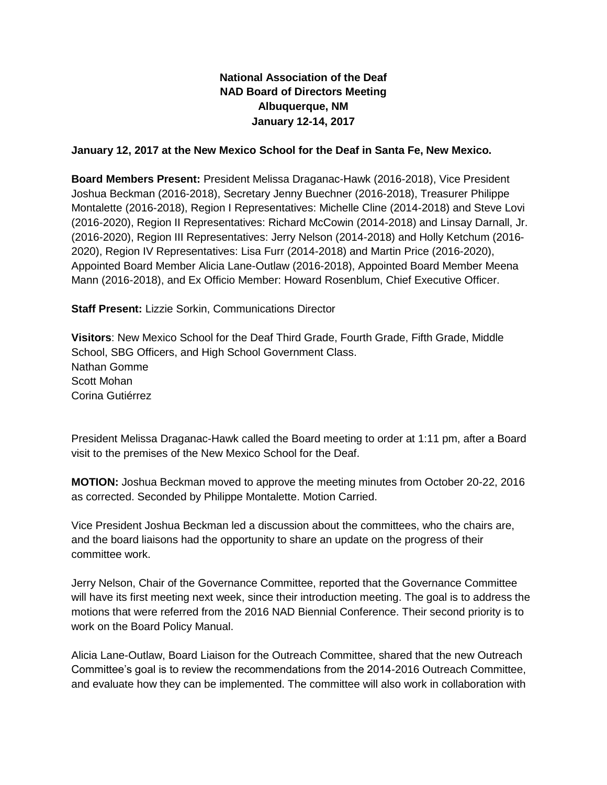# **National Association of the Deaf NAD Board of Directors Meeting Albuquerque, NM January 12-14, 2017**

### **January 12, 2017 at the New Mexico School for the Deaf in Santa Fe, New Mexico.**

**Board Members Present:** President Melissa Draganac-Hawk (2016-2018), Vice President Joshua Beckman (2016-2018), Secretary Jenny Buechner (2016-2018), Treasurer Philippe Montalette (2016-2018), Region I Representatives: Michelle Cline (2014-2018) and Steve Lovi (2016-2020), Region II Representatives: Richard McCowin (2014-2018) and Linsay Darnall, Jr. (2016-2020), Region III Representatives: Jerry Nelson (2014-2018) and Holly Ketchum (2016- 2020), Region IV Representatives: Lisa Furr (2014-2018) and Martin Price (2016-2020), Appointed Board Member Alicia Lane-Outlaw (2016-2018), Appointed Board Member Meena Mann (2016-2018), and Ex Officio Member: Howard Rosenblum, Chief Executive Officer.

**Staff Present:** Lizzie Sorkin, Communications Director

**Visitors**: New Mexico School for the Deaf Third Grade, Fourth Grade, Fifth Grade, Middle School, SBG Officers, and High School Government Class. Nathan Gomme Scott Mohan Corina Gutiérrez

President Melissa Draganac-Hawk called the Board meeting to order at 1:11 pm, after a Board visit to the premises of the New Mexico School for the Deaf.

**MOTION:** Joshua Beckman moved to approve the meeting minutes from October 20-22, 2016 as corrected. Seconded by Philippe Montalette. Motion Carried.

Vice President Joshua Beckman led a discussion about the committees, who the chairs are, and the board liaisons had the opportunity to share an update on the progress of their committee work.

Jerry Nelson, Chair of the Governance Committee, reported that the Governance Committee will have its first meeting next week, since their introduction meeting. The goal is to address the motions that were referred from the 2016 NAD Biennial Conference. Their second priority is to work on the Board Policy Manual.

Alicia Lane-Outlaw, Board Liaison for the Outreach Committee, shared that the new Outreach Committee's goal is to review the recommendations from the 2014-2016 Outreach Committee, and evaluate how they can be implemented. The committee will also work in collaboration with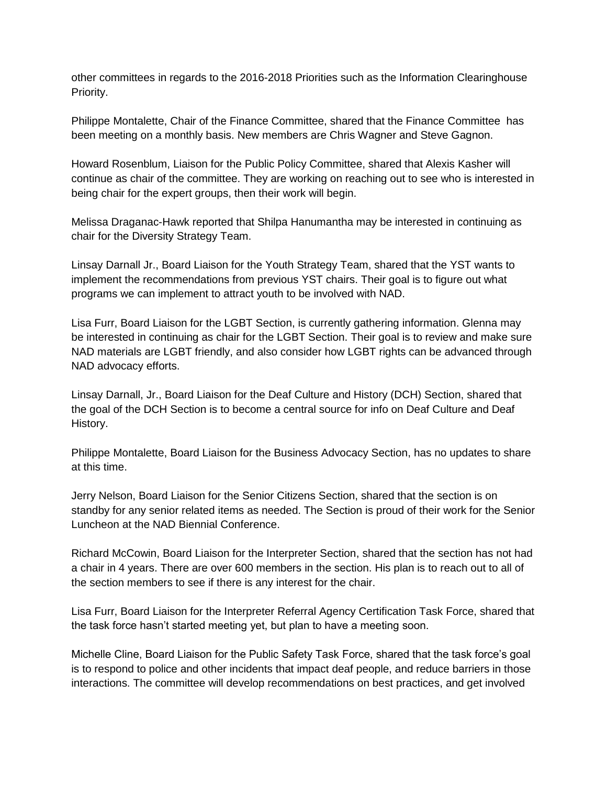other committees in regards to the 2016-2018 Priorities such as the Information Clearinghouse Priority.

Philippe Montalette, Chair of the Finance Committee, shared that the Finance Committee has been meeting on a monthly basis. New members are Chris Wagner and Steve Gagnon.

Howard Rosenblum, Liaison for the Public Policy Committee, shared that Alexis Kasher will continue as chair of the committee. They are working on reaching out to see who is interested in being chair for the expert groups, then their work will begin.

Melissa Draganac-Hawk reported that Shilpa Hanumantha may be interested in continuing as chair for the Diversity Strategy Team.

Linsay Darnall Jr., Board Liaison for the Youth Strategy Team, shared that the YST wants to implement the recommendations from previous YST chairs. Their goal is to figure out what programs we can implement to attract youth to be involved with NAD.

Lisa Furr, Board Liaison for the LGBT Section, is currently gathering information. Glenna may be interested in continuing as chair for the LGBT Section. Their goal is to review and make sure NAD materials are LGBT friendly, and also consider how LGBT rights can be advanced through NAD advocacy efforts.

Linsay Darnall, Jr., Board Liaison for the Deaf Culture and History (DCH) Section, shared that the goal of the DCH Section is to become a central source for info on Deaf Culture and Deaf History.

Philippe Montalette, Board Liaison for the Business Advocacy Section, has no updates to share at this time.

Jerry Nelson, Board Liaison for the Senior Citizens Section, shared that the section is on standby for any senior related items as needed. The Section is proud of their work for the Senior Luncheon at the NAD Biennial Conference.

Richard McCowin, Board Liaison for the Interpreter Section, shared that the section has not had a chair in 4 years. There are over 600 members in the section. His plan is to reach out to all of the section members to see if there is any interest for the chair.

Lisa Furr, Board Liaison for the Interpreter Referral Agency Certification Task Force, shared that the task force hasn't started meeting yet, but plan to have a meeting soon.

Michelle Cline, Board Liaison for the Public Safety Task Force, shared that the task force's goal is to respond to police and other incidents that impact deaf people, and reduce barriers in those interactions. The committee will develop recommendations on best practices, and get involved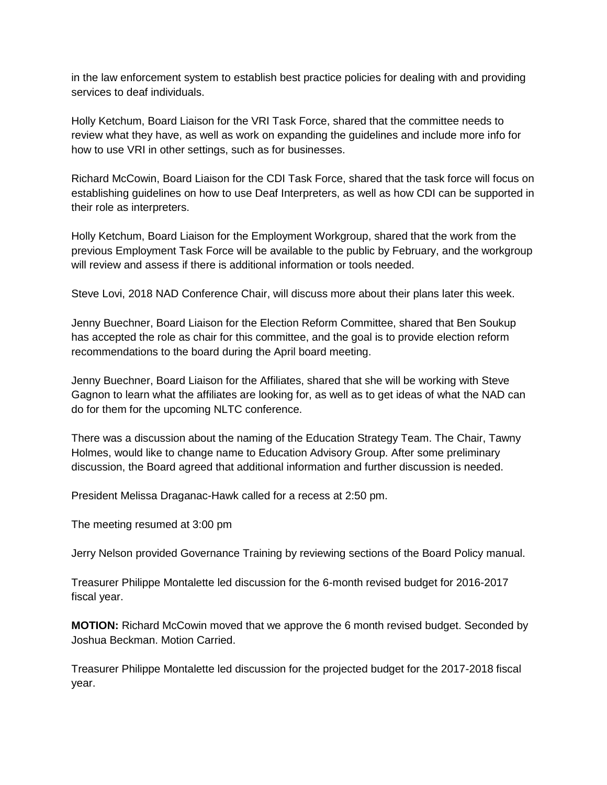in the law enforcement system to establish best practice policies for dealing with and providing services to deaf individuals.

Holly Ketchum, Board Liaison for the VRI Task Force, shared that the committee needs to review what they have, as well as work on expanding the guidelines and include more info for how to use VRI in other settings, such as for businesses.

Richard McCowin, Board Liaison for the CDI Task Force, shared that the task force will focus on establishing guidelines on how to use Deaf Interpreters, as well as how CDI can be supported in their role as interpreters.

Holly Ketchum, Board Liaison for the Employment Workgroup, shared that the work from the previous Employment Task Force will be available to the public by February, and the workgroup will review and assess if there is additional information or tools needed.

Steve Lovi, 2018 NAD Conference Chair, will discuss more about their plans later this week.

Jenny Buechner, Board Liaison for the Election Reform Committee, shared that Ben Soukup has accepted the role as chair for this committee, and the goal is to provide election reform recommendations to the board during the April board meeting.

Jenny Buechner, Board Liaison for the Affiliates, shared that she will be working with Steve Gagnon to learn what the affiliates are looking for, as well as to get ideas of what the NAD can do for them for the upcoming NLTC conference.

There was a discussion about the naming of the Education Strategy Team. The Chair, Tawny Holmes, would like to change name to Education Advisory Group. After some preliminary discussion, the Board agreed that additional information and further discussion is needed.

President Melissa Draganac-Hawk called for a recess at 2:50 pm.

The meeting resumed at 3:00 pm

Jerry Nelson provided Governance Training by reviewing sections of the Board Policy manual.

Treasurer Philippe Montalette led discussion for the 6-month revised budget for 2016-2017 fiscal year.

**MOTION:** Richard McCowin moved that we approve the 6 month revised budget. Seconded by Joshua Beckman. Motion Carried.

Treasurer Philippe Montalette led discussion for the projected budget for the 2017-2018 fiscal year.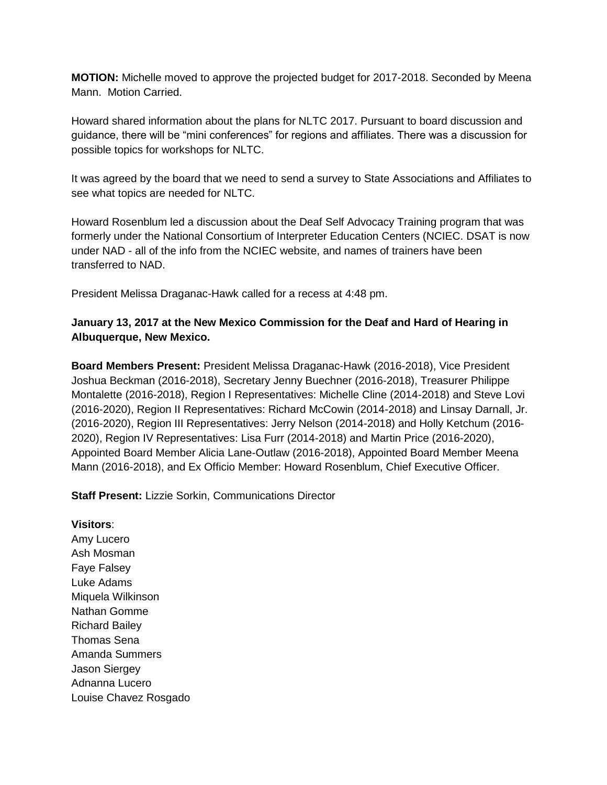**MOTION:** Michelle moved to approve the projected budget for 2017-2018. Seconded by Meena Mann. Motion Carried.

Howard shared information about the plans for NLTC 2017. Pursuant to board discussion and guidance, there will be "mini conferences" for regions and affiliates. There was a discussion for possible topics for workshops for NLTC.

It was agreed by the board that we need to send a survey to State Associations and Affiliates to see what topics are needed for NLTC.

Howard Rosenblum led a discussion about the Deaf Self Advocacy Training program that was formerly under the National Consortium of Interpreter Education Centers (NCIEC. DSAT is now under NAD - all of the info from the NCIEC website, and names of trainers have been transferred to NAD.

President Melissa Draganac-Hawk called for a recess at 4:48 pm.

## **January 13, 2017 at the New Mexico Commission for the Deaf and Hard of Hearing in Albuquerque, New Mexico.**

**Board Members Present:** President Melissa Draganac-Hawk (2016-2018), Vice President Joshua Beckman (2016-2018), Secretary Jenny Buechner (2016-2018), Treasurer Philippe Montalette (2016-2018), Region I Representatives: Michelle Cline (2014-2018) and Steve Lovi (2016-2020), Region II Representatives: Richard McCowin (2014-2018) and Linsay Darnall, Jr. (2016-2020), Region III Representatives: Jerry Nelson (2014-2018) and Holly Ketchum (2016- 2020), Region IV Representatives: Lisa Furr (2014-2018) and Martin Price (2016-2020), Appointed Board Member Alicia Lane-Outlaw (2016-2018), Appointed Board Member Meena Mann (2016-2018), and Ex Officio Member: Howard Rosenblum, Chief Executive Officer.

**Staff Present:** Lizzie Sorkin, Communications Director

**Visitors**: Amy Lucero Ash Mosman Faye Falsey Luke Adams Miquela Wilkinson Nathan Gomme Richard Bailey Thomas Sena Amanda Summers Jason Siergey Adnanna Lucero Louise Chavez Rosgado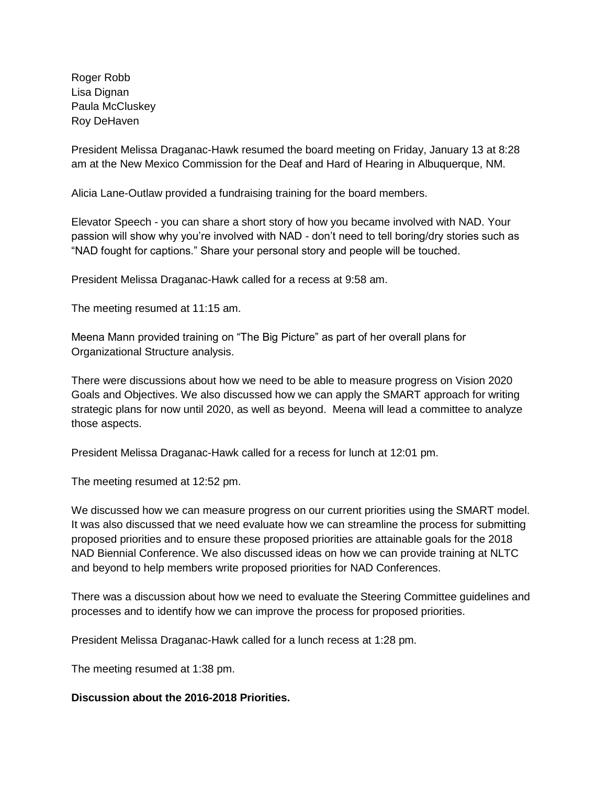Roger Robb Lisa Dignan Paula McCluskey Roy DeHaven

President Melissa Draganac-Hawk resumed the board meeting on Friday, January 13 at 8:28 am at the New Mexico Commission for the Deaf and Hard of Hearing in Albuquerque, NM.

Alicia Lane-Outlaw provided a fundraising training for the board members.

Elevator Speech - you can share a short story of how you became involved with NAD. Your passion will show why you're involved with NAD - don't need to tell boring/dry stories such as "NAD fought for captions." Share your personal story and people will be touched.

President Melissa Draganac-Hawk called for a recess at 9:58 am.

The meeting resumed at 11:15 am.

Meena Mann provided training on "The Big Picture" as part of her overall plans for Organizational Structure analysis.

There were discussions about how we need to be able to measure progress on Vision 2020 Goals and Objectives. We also discussed how we can apply the SMART approach for writing strategic plans for now until 2020, as well as beyond. Meena will lead a committee to analyze those aspects.

President Melissa Draganac-Hawk called for a recess for lunch at 12:01 pm.

The meeting resumed at 12:52 pm.

We discussed how we can measure progress on our current priorities using the SMART model. It was also discussed that we need evaluate how we can streamline the process for submitting proposed priorities and to ensure these proposed priorities are attainable goals for the 2018 NAD Biennial Conference. We also discussed ideas on how we can provide training at NLTC and beyond to help members write proposed priorities for NAD Conferences.

There was a discussion about how we need to evaluate the Steering Committee guidelines and processes and to identify how we can improve the process for proposed priorities.

President Melissa Draganac-Hawk called for a lunch recess at 1:28 pm.

The meeting resumed at 1:38 pm.

#### **Discussion about the 2016-2018 Priorities.**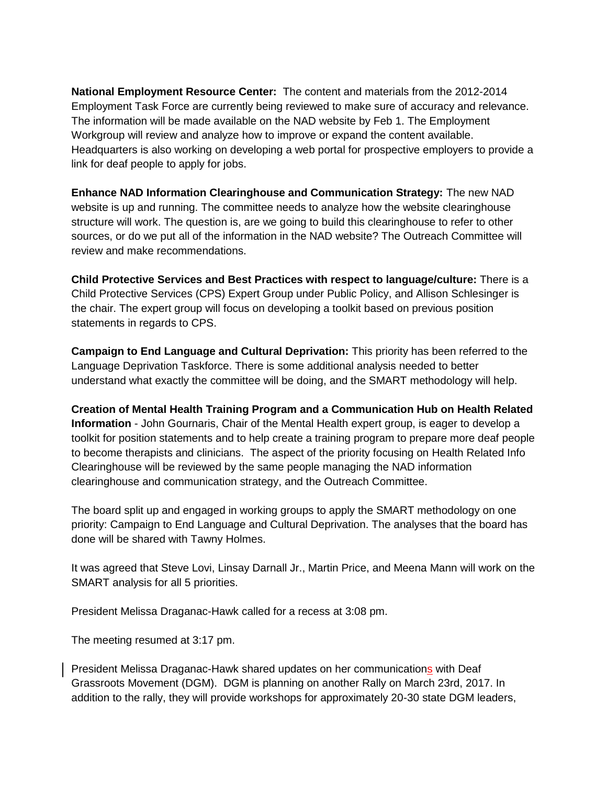**National Employment Resource Center:** The content and materials from the 2012-2014 Employment Task Force are currently being reviewed to make sure of accuracy and relevance. The information will be made available on the NAD website by Feb 1. The Employment Workgroup will review and analyze how to improve or expand the content available. Headquarters is also working on developing a web portal for prospective employers to provide a link for deaf people to apply for jobs.

**Enhance NAD Information Clearinghouse and Communication Strategy:** The new NAD website is up and running. The committee needs to analyze how the website clearinghouse structure will work. The question is, are we going to build this clearinghouse to refer to other sources, or do we put all of the information in the NAD website? The Outreach Committee will review and make recommendations.

**Child Protective Services and Best Practices with respect to language/culture:** There is a Child Protective Services (CPS) Expert Group under Public Policy, and Allison Schlesinger is the chair. The expert group will focus on developing a toolkit based on previous position statements in regards to CPS.

**Campaign to End Language and Cultural Deprivation:** This priority has been referred to the Language Deprivation Taskforce. There is some additional analysis needed to better understand what exactly the committee will be doing, and the SMART methodology will help.

**Creation of Mental Health Training Program and a Communication Hub on Health Related Information** - John Gournaris, Chair of the Mental Health expert group, is eager to develop a toolkit for position statements and to help create a training program to prepare more deaf people to become therapists and clinicians. The aspect of the priority focusing on Health Related Info Clearinghouse will be reviewed by the same people managing the NAD information clearinghouse and communication strategy, and the Outreach Committee.

The board split up and engaged in working groups to apply the SMART methodology on one priority: Campaign to End Language and Cultural Deprivation. The analyses that the board has done will be shared with Tawny Holmes.

It was agreed that Steve Lovi, Linsay Darnall Jr., Martin Price, and Meena Mann will work on the SMART analysis for all 5 priorities.

President Melissa Draganac-Hawk called for a recess at 3:08 pm.

The meeting resumed at 3:17 pm.

President Melissa Draganac-Hawk shared updates on her communications with Deaf Grassroots Movement (DGM). DGM is planning on another Rally on March 23rd, 2017. In addition to the rally, they will provide workshops for approximately 20-30 state DGM leaders,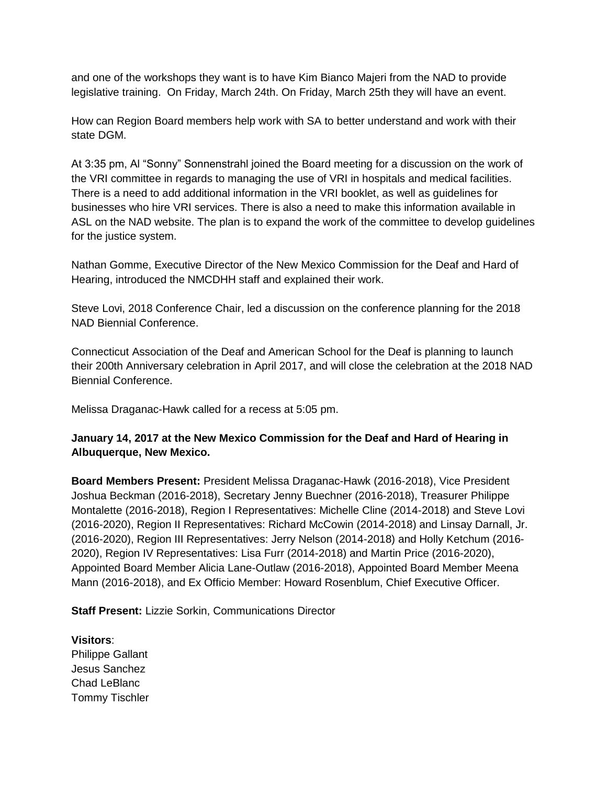and one of the workshops they want is to have Kim Bianco Majeri from the NAD to provide legislative training. On Friday, March 24th. On Friday, March 25th they will have an event.

How can Region Board members help work with SA to better understand and work with their state DGM.

At 3:35 pm, Al "Sonny" Sonnenstrahl joined the Board meeting for a discussion on the work of the VRI committee in regards to managing the use of VRI in hospitals and medical facilities. There is a need to add additional information in the VRI booklet, as well as guidelines for businesses who hire VRI services. There is also a need to make this information available in ASL on the NAD website. The plan is to expand the work of the committee to develop guidelines for the justice system.

Nathan Gomme, Executive Director of the New Mexico Commission for the Deaf and Hard of Hearing, introduced the NMCDHH staff and explained their work.

Steve Lovi, 2018 Conference Chair, led a discussion on the conference planning for the 2018 NAD Biennial Conference.

Connecticut Association of the Deaf and American School for the Deaf is planning to launch their 200th Anniversary celebration in April 2017, and will close the celebration at the 2018 NAD Biennial Conference.

Melissa Draganac-Hawk called for a recess at 5:05 pm.

### **January 14, 2017 at the New Mexico Commission for the Deaf and Hard of Hearing in Albuquerque, New Mexico.**

**Board Members Present:** President Melissa Draganac-Hawk (2016-2018), Vice President Joshua Beckman (2016-2018), Secretary Jenny Buechner (2016-2018), Treasurer Philippe Montalette (2016-2018), Region I Representatives: Michelle Cline (2014-2018) and Steve Lovi (2016-2020), Region II Representatives: Richard McCowin (2014-2018) and Linsay Darnall, Jr. (2016-2020), Region III Representatives: Jerry Nelson (2014-2018) and Holly Ketchum (2016- 2020), Region IV Representatives: Lisa Furr (2014-2018) and Martin Price (2016-2020), Appointed Board Member Alicia Lane-Outlaw (2016-2018), Appointed Board Member Meena Mann (2016-2018), and Ex Officio Member: Howard Rosenblum, Chief Executive Officer.

**Staff Present:** Lizzie Sorkin, Communications Director

**Visitors**: Philippe Gallant Jesus Sanchez Chad LeBlanc Tommy Tischler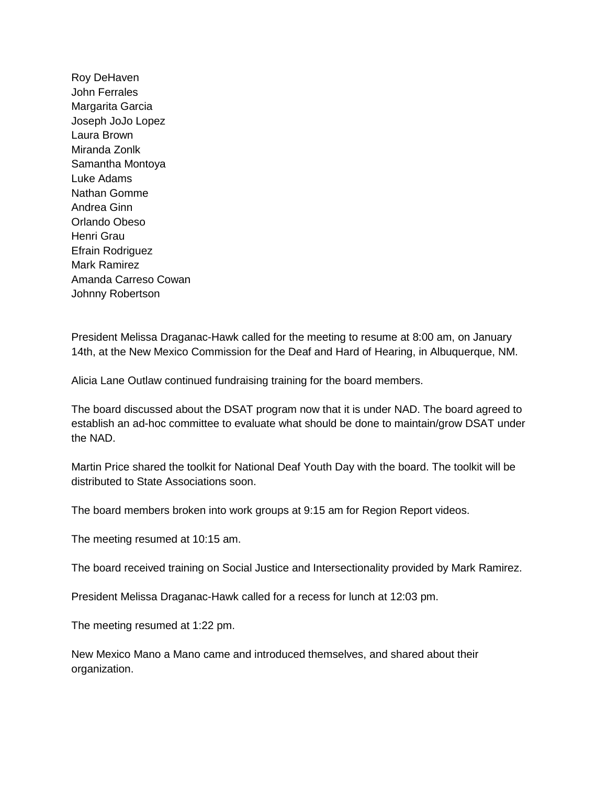Roy DeHaven John Ferrales Margarita Garcia Joseph JoJo Lopez Laura Brown Miranda Zonlk Samantha Montoya Luke Adams Nathan Gomme Andrea Ginn Orlando Obeso Henri Grau Efrain Rodriguez Mark Ramirez Amanda Carreso Cowan Johnny Robertson

President Melissa Draganac-Hawk called for the meeting to resume at 8:00 am, on January 14th, at the New Mexico Commission for the Deaf and Hard of Hearing, in Albuquerque, NM.

Alicia Lane Outlaw continued fundraising training for the board members.

The board discussed about the DSAT program now that it is under NAD. The board agreed to establish an ad-hoc committee to evaluate what should be done to maintain/grow DSAT under the NAD.

Martin Price shared the toolkit for National Deaf Youth Day with the board. The toolkit will be distributed to State Associations soon.

The board members broken into work groups at 9:15 am for Region Report videos.

The meeting resumed at 10:15 am.

The board received training on Social Justice and Intersectionality provided by Mark Ramirez.

President Melissa Draganac-Hawk called for a recess for lunch at 12:03 pm.

The meeting resumed at 1:22 pm.

New Mexico Mano a Mano came and introduced themselves, and shared about their organization.